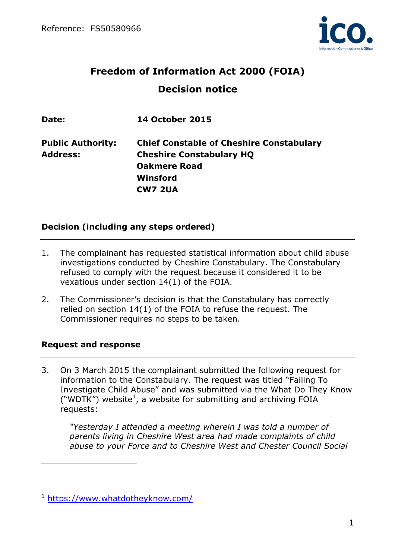

# **Freedom of Information Act 2000 (FOIA) Decision notice**

| <b>14 October 2015</b>                          |
|-------------------------------------------------|
| <b>Chief Constable of Cheshire Constabulary</b> |
| <b>Cheshire Constabulary HQ</b>                 |
| <b>Oakmere Road</b>                             |
| Winsford                                        |
| <b>CW7 2UA</b>                                  |
|                                                 |

# **Decision (including any steps ordered)**

- 1. The complainant has requested statistical information about child abuse investigations conducted by Cheshire Constabulary. The Constabulary refused to comply with the request because it considered it to be vexatious under section 14(1) of the FOIA.
- 2. The Commissioner's decision is that the Constabulary has correctly relied on section 14(1) of the FOIA to refuse the request. The Commissioner requires no steps to be taken.

## **Request and response**

 $\overline{a}$ 

3. On 3 March 2015 the complainant submitted the following request for information to the Constabulary. The request was titled "Failing To Investigate Child Abuse" and was submitted via the What Do They Know ("WDTK") website<sup>1</sup>, a website for submitting and archiving FOIA requests:

*"Yesterday I attended a meeting wherein I was told a number of parents living in Cheshire West area had made complaints of child abuse to your Force and to Cheshire West and Chester Council Social* 

<sup>1</sup> https://www.whatdotheyknow.com/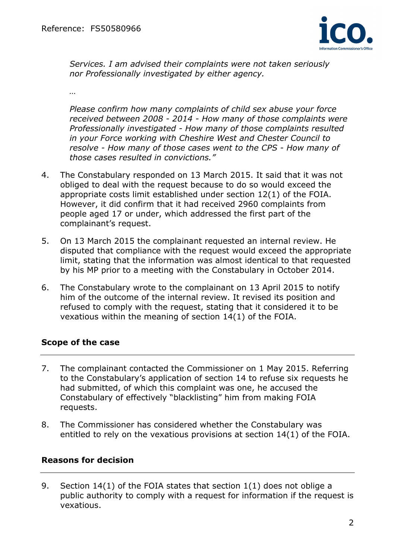

*Services. I am advised their complaints were not taken seriously nor Professionally investigated by either agency.* 

*…* 

*Please confirm how many complaints of child sex abuse your force received between 2008 - 2014 - How many of those complaints were Professionally investigated - How many of those complaints resulted in your Force working with Cheshire West and Chester Council to resolve - How many of those cases went to the CPS - How many of those cases resulted in convictions."* 

- 4. The Constabulary responded on 13 March 2015. It said that it was not obliged to deal with the request because to do so would exceed the appropriate costs limit established under section 12(1) of the FOIA. However, it did confirm that it had received 2960 complaints from people aged 17 or under, which addressed the first part of the complainant's request.
- 5. On 13 March 2015 the complainant requested an internal review. He disputed that compliance with the request would exceed the appropriate limit, stating that the information was almost identical to that requested by his MP prior to a meeting with the Constabulary in October 2014.
- 6. The Constabulary wrote to the complainant on 13 April 2015 to notify him of the outcome of the internal review. It revised its position and refused to comply with the request, stating that it considered it to be vexatious within the meaning of section 14(1) of the FOIA.

# **Scope of the case**

- 7. The complainant contacted the Commissioner on 1 May 2015. Referring to the Constabulary's application of section 14 to refuse six requests he had submitted, of which this complaint was one, he accused the Constabulary of effectively "blacklisting" him from making FOIA requests.
- 8. The Commissioner has considered whether the Constabulary was entitled to rely on the vexatious provisions at section 14(1) of the FOIA.

# **Reasons for decision**

9. Section 14(1) of the FOIA states that section 1(1) does not oblige a public authority to comply with a request for information if the request is vexatious.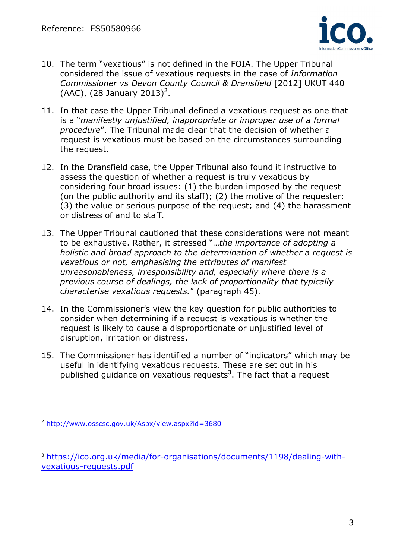

- 10. The term "vexatious" is not defined in the FOIA. The Upper Tribunal considered the issue of vexatious requests in the case of *Information Commissioner vs Devon County Council & Dransfield* [2012] UKUT 440  $(AAC)$ ,  $(28$  January  $2013)^2$ .
- 11. In that case the Upper Tribunal defined a vexatious request as one that is a "*manifestly unjustified, inappropriate or improper use of a formal procedure*". The Tribunal made clear that the decision of whether a request is vexatious must be based on the circumstances surrounding the request.
- 12. In the Dransfield case, the Upper Tribunal also found it instructive to assess the question of whether a request is truly vexatious by considering four broad issues: (1) the burden imposed by the request (on the public authority and its staff); (2) the motive of the requester; (3) the value or serious purpose of the request; and (4) the harassment or distress of and to staff.
- 13. The Upper Tribunal cautioned that these considerations were not meant to be exhaustive. Rather, it stressed "…*the importance of adopting a holistic and broad approach to the determination of whether a request is vexatious or not, emphasising the attributes of manifest unreasonableness, irresponsibility and, especially where there is a previous course of dealings, the lack of proportionality that typically characterise vexatious requests.*" (paragraph 45).
- 14. In the Commissioner's view the key question for public authorities to consider when determining if a request is vexatious is whether the request is likely to cause a disproportionate or unjustified level of disruption, irritation or distress.
- 15. The Commissioner has identified a number of "indicators" which may be useful in identifying vexatious requests. These are set out in his published guidance on vexatious requests<sup>3</sup>. The fact that a request

<sup>2</sup> http://www.osscsc.gov.uk/Aspx/view.aspx?id=3680

<sup>3</sup> https://ico.org.uk/media/for-organisations/documents/1198/dealing-withvexatious-requests.pdf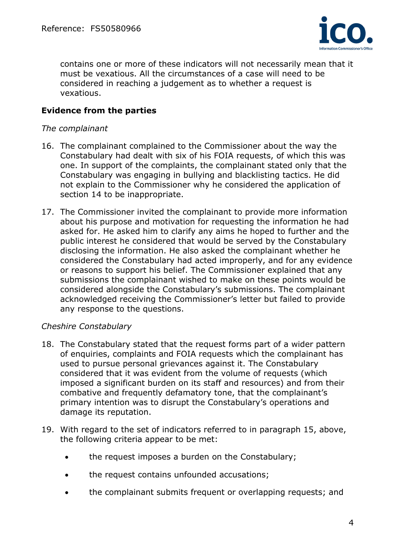

contains one or more of these indicators will not necessarily mean that it must be vexatious. All the circumstances of a case will need to be considered in reaching a judgement as to whether a request is vexatious.

# **Evidence from the parties**

#### *The complainant*

- 16. The complainant complained to the Commissioner about the way the Constabulary had dealt with six of his FOIA requests, of which this was one. In support of the complaints, the complainant stated only that the Constabulary was engaging in bullying and blacklisting tactics. He did not explain to the Commissioner why he considered the application of section 14 to be inappropriate.
- 17. The Commissioner invited the complainant to provide more information about his purpose and motivation for requesting the information he had asked for. He asked him to clarify any aims he hoped to further and the public interest he considered that would be served by the Constabulary disclosing the information. He also asked the complainant whether he considered the Constabulary had acted improperly, and for any evidence or reasons to support his belief. The Commissioner explained that any submissions the complainant wished to make on these points would be considered alongside the Constabulary's submissions. The complainant acknowledged receiving the Commissioner's letter but failed to provide any response to the questions.

## *Cheshire Constabulary*

- 18. The Constabulary stated that the request forms part of a wider pattern of enquiries, complaints and FOIA requests which the complainant has used to pursue personal grievances against it. The Constabulary considered that it was evident from the volume of requests (which imposed a significant burden on its staff and resources) and from their combative and frequently defamatory tone, that the complainant's primary intention was to disrupt the Constabulary's operations and damage its reputation.
- 19. With regard to the set of indicators referred to in paragraph 15, above, the following criteria appear to be met:
	- the request imposes a burden on the Constabulary;
	- the request contains unfounded accusations;
	- the complainant submits frequent or overlapping requests; and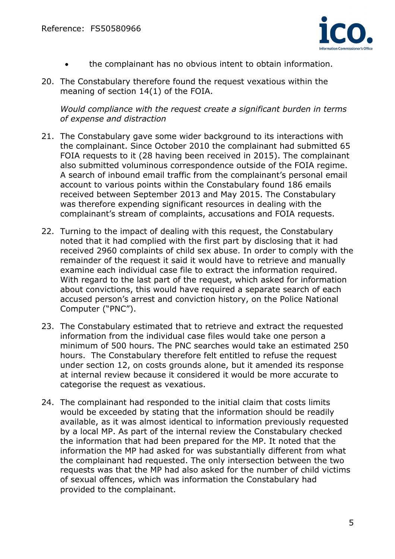

- the complainant has no obvious intent to obtain information.
- 20. The Constabulary therefore found the request vexatious within the meaning of section 14(1) of the FOIA.

*Would compliance with the request create a significant burden in terms of expense and distraction* 

- 21. The Constabulary gave some wider background to its interactions with the complainant. Since October 2010 the complainant had submitted 65 FOIA requests to it (28 having been received in 2015). The complainant also submitted voluminous correspondence outside of the FOIA regime. A search of inbound email traffic from the complainant's personal email account to various points within the Constabulary found 186 emails received between September 2013 and May 2015. The Constabulary was therefore expending significant resources in dealing with the complainant's stream of complaints, accusations and FOIA requests.
- 22. Turning to the impact of dealing with this request, the Constabulary noted that it had complied with the first part by disclosing that it had received 2960 complaints of child sex abuse. In order to comply with the remainder of the request it said it would have to retrieve and manually examine each individual case file to extract the information required. With regard to the last part of the request, which asked for information about convictions, this would have required a separate search of each accused person's arrest and conviction history, on the Police National Computer ("PNC").
- 23. The Constabulary estimated that to retrieve and extract the requested information from the individual case files would take one person a minimum of 500 hours. The PNC searches would take an estimated 250 hours. The Constabulary therefore felt entitled to refuse the request under section 12, on costs grounds alone, but it amended its response at internal review because it considered it would be more accurate to categorise the request as vexatious.
- 24. The complainant had responded to the initial claim that costs limits would be exceeded by stating that the information should be readily available, as it was almost identical to information previously requested by a local MP. As part of the internal review the Constabulary checked the information that had been prepared for the MP. It noted that the information the MP had asked for was substantially different from what the complainant had requested. The only intersection between the two requests was that the MP had also asked for the number of child victims of sexual offences, which was information the Constabulary had provided to the complainant.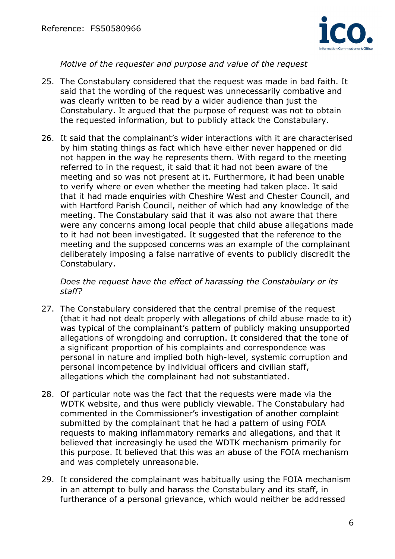

## *Motive of the requester and purpose and value of the request*

- 25. The Constabulary considered that the request was made in bad faith. It said that the wording of the request was unnecessarily combative and was clearly written to be read by a wider audience than just the Constabulary. It argued that the purpose of request was not to obtain the requested information, but to publicly attack the Constabulary.
- 26. It said that the complainant's wider interactions with it are characterised by him stating things as fact which have either never happened or did not happen in the way he represents them. With regard to the meeting referred to in the request, it said that it had not been aware of the meeting and so was not present at it. Furthermore, it had been unable to verify where or even whether the meeting had taken place. It said that it had made enquiries with Cheshire West and Chester Council, and with Hartford Parish Council, neither of which had any knowledge of the meeting. The Constabulary said that it was also not aware that there were any concerns among local people that child abuse allegations made to it had not been investigated. It suggested that the reference to the meeting and the supposed concerns was an example of the complainant deliberately imposing a false narrative of events to publicly discredit the Constabulary.

*Does the request have the effect of harassing the Constabulary or its staff?* 

- 27. The Constabulary considered that the central premise of the request (that it had not dealt properly with allegations of child abuse made to it) was typical of the complainant's pattern of publicly making unsupported allegations of wrongdoing and corruption. It considered that the tone of a significant proportion of his complaints and correspondence was personal in nature and implied both high-level, systemic corruption and personal incompetence by individual officers and civilian staff, allegations which the complainant had not substantiated.
- 28. Of particular note was the fact that the requests were made via the WDTK website, and thus were publicly viewable. The Constabulary had commented in the Commissioner's investigation of another complaint submitted by the complainant that he had a pattern of using FOIA requests to making inflammatory remarks and allegations, and that it believed that increasingly he used the WDTK mechanism primarily for this purpose. It believed that this was an abuse of the FOIA mechanism and was completely unreasonable.
- 29. It considered the complainant was habitually using the FOIA mechanism in an attempt to bully and harass the Constabulary and its staff, in furtherance of a personal grievance, which would neither be addressed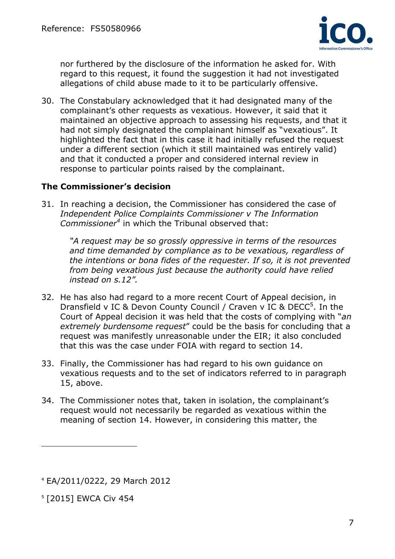

nor furthered by the disclosure of the information he asked for. With regard to this request, it found the suggestion it had not investigated allegations of child abuse made to it to be particularly offensive.

30. The Constabulary acknowledged that it had designated many of the complainant's other requests as vexatious. However, it said that it maintained an objective approach to assessing his requests, and that it had not simply designated the complainant himself as "vexatious". It highlighted the fact that in this case it had initially refused the request under a different section (which it still maintained was entirely valid) and that it conducted a proper and considered internal review in response to particular points raised by the complainant.

# **The Commissioner's decision**

31. In reaching a decision, the Commissioner has considered the case of *Independent Police Complaints Commissioner v The Information Commissioner<sup>4</sup>* in which the Tribunal observed that:

*"A request may be so grossly oppressive in terms of the resources and time demanded by compliance as to be vexatious, regardless of the intentions or bona fides of the requester. If so, it is not prevented from being vexatious just because the authority could have relied instead on s.12".* 

- 32. He has also had regard to a more recent Court of Appeal decision, in Dransfield v IC & Devon County Council / Craven v IC & DECC $5$ . In the Court of Appeal decision it was held that the costs of complying with "*an extremely burdensome request*" could be the basis for concluding that a request was manifestly unreasonable under the EIR; it also concluded that this was the case under FOIA with regard to section 14.
- 33. Finally, the Commissioner has had regard to his own guidance on vexatious requests and to the set of indicators referred to in paragraph 15, above.
- 34. The Commissioner notes that, taken in isolation, the complainant's request would not necessarily be regarded as vexatious within the meaning of section 14. However, in considering this matter, the

<sup>5</sup> [2015] EWCA Civ 454

<sup>4</sup> EA/2011/0222, 29 March 2012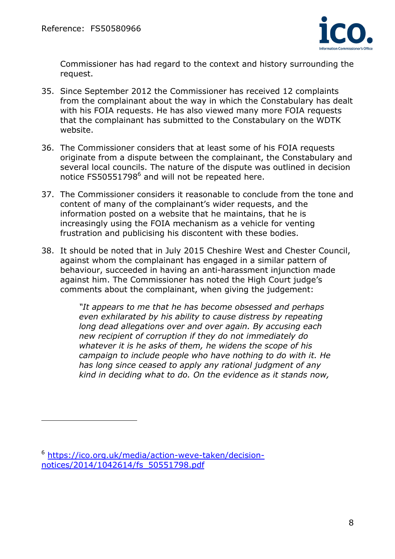

Commissioner has had regard to the context and history surrounding the request.

- 35. Since September 2012 the Commissioner has received 12 complaints from the complainant about the way in which the Constabulary has dealt with his FOIA requests. He has also viewed many more FOIA requests that the complainant has submitted to the Constabulary on the WDTK website.
- 36. The Commissioner considers that at least some of his FOIA requests originate from a dispute between the complainant, the Constabulary and several local councils. The nature of the dispute was outlined in decision notice FS50551798 $<sup>6</sup>$  and will not be repeated here.</sup>
- 37. The Commissioner considers it reasonable to conclude from the tone and content of many of the complainant's wider requests, and the information posted on a website that he maintains, that he is increasingly using the FOIA mechanism as a vehicle for venting frustration and publicising his discontent with these bodies.
- 38. It should be noted that in July 2015 Cheshire West and Chester Council, against whom the complainant has engaged in a similar pattern of behaviour, succeeded in having an anti-harassment injunction made against him. The Commissioner has noted the High Court judge's comments about the complainant, when giving the judgement:

*"It appears to me that he has become obsessed and perhaps even exhilarated by his ability to cause distress by repeating long dead allegations over and over again. By accusing each new recipient of corruption if they do not immediately do whatever it is he asks of them, he widens the scope of his campaign to include people who have nothing to do with it. He has long since ceased to apply any rational judgment of any kind in deciding what to do. On the evidence as it stands now,* 

<sup>6</sup> https://ico.org.uk/media/action-weve-taken/decisionnotices/2014/1042614/fs\_50551798.pdf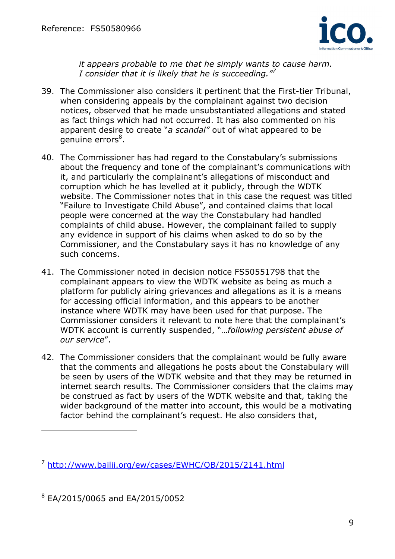

*it appears probable to me that he simply wants to cause harm. I consider that it is likely that he is succeeding."<sup>7</sup>*

- 39. The Commissioner also considers it pertinent that the First-tier Tribunal, when considering appeals by the complainant against two decision notices, observed that he made unsubstantiated allegations and stated as fact things which had not occurred. It has also commented on his apparent desire to create "*a scandal"* out of what appeared to be genuine errors<sup>8</sup>.
- 40. The Commissioner has had regard to the Constabulary's submissions about the frequency and tone of the complainant's communications with it, and particularly the complainant's allegations of misconduct and corruption which he has levelled at it publicly, through the WDTK website. The Commissioner notes that in this case the request was titled "Failure to Investigate Child Abuse", and contained claims that local people were concerned at the way the Constabulary had handled complaints of child abuse. However, the complainant failed to supply any evidence in support of his claims when asked to do so by the Commissioner, and the Constabulary says it has no knowledge of any such concerns.
- 41. The Commissioner noted in decision notice FS50551798 that the complainant appears to view the WDTK website as being as much a platform for publicly airing grievances and allegations as it is a means for accessing official information, and this appears to be another instance where WDTK may have been used for that purpose. The Commissioner considers it relevant to note here that the complainant's WDTK account is currently suspended, "…*following persistent abuse of our service*".
- 42. The Commissioner considers that the complainant would be fully aware that the comments and allegations he posts about the Constabulary will be seen by users of the WDTK website and that they may be returned in internet search results. The Commissioner considers that the claims may be construed as fact by users of the WDTK website and that, taking the wider background of the matter into account, this would be a motivating factor behind the complainant's request. He also considers that,

<sup>8</sup> EA/2015/0065 and EA/2015/0052

<sup>7</sup> http://www.bailii.org/ew/cases/EWHC/QB/2015/2141.html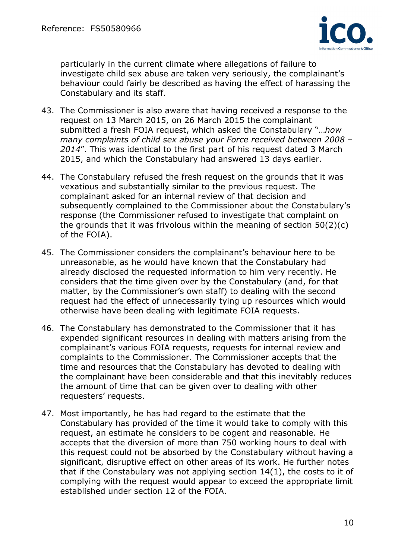

particularly in the current climate where allegations of failure to investigate child sex abuse are taken very seriously, the complainant's behaviour could fairly be described as having the effect of harassing the Constabulary and its staff.

- 43. The Commissioner is also aware that having received a response to the request on 13 March 2015, on 26 March 2015 the complainant submitted a fresh FOIA request, which asked the Constabulary "…*how many complaints of child sex abuse your Force received between 2008 – 2014*". This was identical to the first part of his request dated 3 March 2015, and which the Constabulary had answered 13 days earlier.
- 44. The Constabulary refused the fresh request on the grounds that it was vexatious and substantially similar to the previous request. The complainant asked for an internal review of that decision and subsequently complained to the Commissioner about the Constabulary's response (the Commissioner refused to investigate that complaint on the grounds that it was frivolous within the meaning of section 50(2)(c) of the FOIA).
- 45. The Commissioner considers the complainant's behaviour here to be unreasonable, as he would have known that the Constabulary had already disclosed the requested information to him very recently. He considers that the time given over by the Constabulary (and, for that matter, by the Commissioner's own staff) to dealing with the second request had the effect of unnecessarily tying up resources which would otherwise have been dealing with legitimate FOIA requests.
- 46. The Constabulary has demonstrated to the Commissioner that it has expended significant resources in dealing with matters arising from the complainant's various FOIA requests, requests for internal review and complaints to the Commissioner. The Commissioner accepts that the time and resources that the Constabulary has devoted to dealing with the complainant have been considerable and that this inevitably reduces the amount of time that can be given over to dealing with other requesters' requests.
- 47. Most importantly, he has had regard to the estimate that the Constabulary has provided of the time it would take to comply with this request, an estimate he considers to be cogent and reasonable. He accepts that the diversion of more than 750 working hours to deal with this request could not be absorbed by the Constabulary without having a significant, disruptive effect on other areas of its work. He further notes that if the Constabulary was not applying section 14(1), the costs to it of complying with the request would appear to exceed the appropriate limit established under section 12 of the FOIA.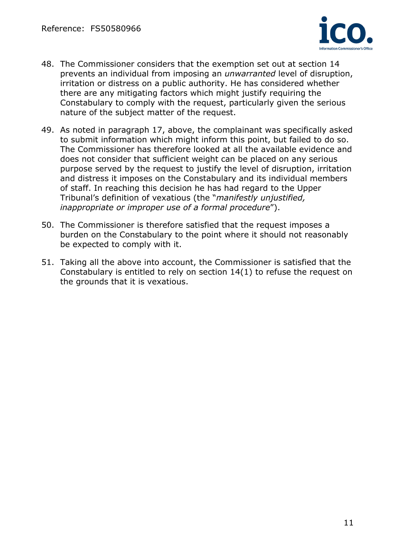

- 48. The Commissioner considers that the exemption set out at section 14 prevents an individual from imposing an *unwarranted* level of disruption, irritation or distress on a public authority. He has considered whether there are any mitigating factors which might justify requiring the Constabulary to comply with the request, particularly given the serious nature of the subject matter of the request.
- 49. As noted in paragraph 17, above, the complainant was specifically asked to submit information which might inform this point, but failed to do so. The Commissioner has therefore looked at all the available evidence and does not consider that sufficient weight can be placed on any serious purpose served by the request to justify the level of disruption, irritation and distress it imposes on the Constabulary and its individual members of staff. In reaching this decision he has had regard to the Upper Tribunal's definition of vexatious (the "*manifestly unjustified, inappropriate or improper use of a formal procedure*").
- 50. The Commissioner is therefore satisfied that the request imposes a burden on the Constabulary to the point where it should not reasonably be expected to comply with it.
- 51. Taking all the above into account, the Commissioner is satisfied that the Constabulary is entitled to rely on section 14(1) to refuse the request on the grounds that it is vexatious.